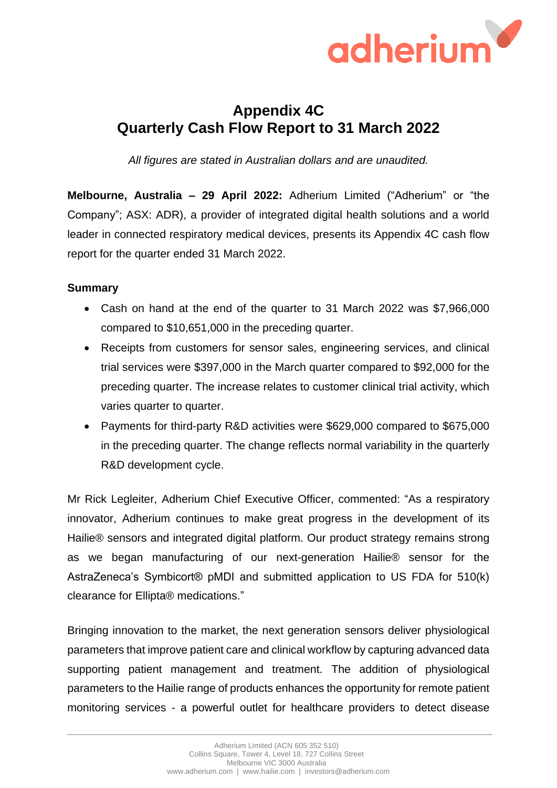

# **Appendix 4C Quarterly Cash Flow Report to 31 March 2022**

*All figures are stated in Australian dollars and are unaudited.*

**Melbourne, Australia – 29 April 2022:** Adherium Limited ("Adherium" or "the Company"; ASX: ADR), a provider of integrated digital health solutions and a world leader in connected respiratory medical devices, presents its Appendix 4C cash flow report for the quarter ended 31 March 2022.

## **Summary**

- Cash on hand at the end of the quarter to 31 March 2022 was \$7,966,000 compared to \$10,651,000 in the preceding quarter.
- Receipts from customers for sensor sales, engineering services, and clinical trial services were \$397,000 in the March quarter compared to \$92,000 for the preceding quarter. The increase relates to customer clinical trial activity, which varies quarter to quarter.
- Payments for third-party R&D activities were \$629,000 compared to \$675,000 in the preceding quarter. The change reflects normal variability in the quarterly R&D development cycle.

Mr Rick Legleiter, Adherium Chief Executive Officer, commented: "As a respiratory innovator, Adherium continues to make great progress in the development of its Hailie® sensors and integrated digital platform. Our product strategy remains strong as we began manufacturing of our next-generation Hailie® sensor for the AstraZeneca's Symbicort® pMDI and submitted application to US FDA for 510(k) clearance for Ellipta® medications."

Bringing innovation to the market, the next generation sensors deliver physiological parameters that improve patient care and clinical workflow by capturing advanced data supporting patient management and treatment. The addition of physiological parameters to the Hailie range of products enhances the opportunity for remote patient monitoring services - a powerful outlet for healthcare providers to detect disease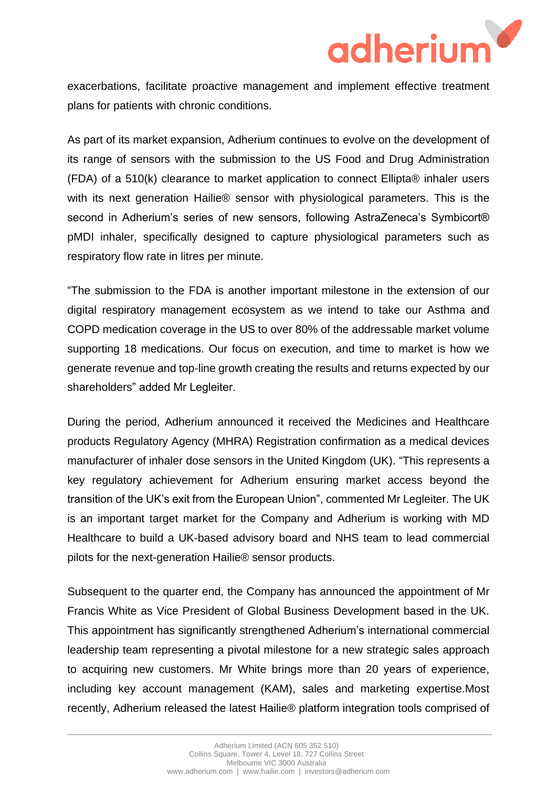

exacerbations, facilitate proactive management and implement effective treatment plans for patients with chronic conditions.

As part of its market expansion, Adherium continues to evolve on the development of its range of sensors with the submission to the US Food and Drug Administration (FDA) of a 510(k) clearance to market application to connect Ellipta® inhaler users with its next generation Hailie<sup>®</sup> sensor with physiological parameters. This is the second in Adherium's series of new sensors, following AstraZeneca's Symbicort® pMDI inhaler, specifically designed to capture physiological parameters such as respiratory flow rate in litres per minute.

"The submission to the FDA is another important milestone in the extension of our digital respiratory management ecosystem as we intend to take our Asthma and COPD medication coverage in the US to over 80% of the addressable market volume supporting 18 medications. Our focus on execution, and time to market is how we generate revenue and top-line growth creating the results and returns expected by our shareholders" added Mr Legleiter.

During the period, Adherium announced it received the Medicines and Healthcare products Regulatory Agency (MHRA) Registration confirmation as a medical devices manufacturer of inhaler dose sensors in the United Kingdom (UK). "This represents a key regulatory achievement for Adherium ensuring market access beyond the transition of the UK's exit from the European Union", commented Mr Legleiter. The UK is an important target market for the Company and Adherium is working with MD Healthcare to build a UK-based advisory board and NHS team to lead commercial pilots for the next-generation Hailie® sensor products.

Subsequent to the quarter end, the Company has announced the appointment of Mr Francis White as Vice President of Global Business Development based in the UK. This appointment has significantly strengthened Adherium's international commercial leadership team representing a pivotal milestone for a new strategic sales approach to acquiring new customers. Mr White brings more than 20 years of experience, including key account management (KAM), sales and marketing expertise.Most recently, Adherium released the latest Hailie® platform integration tools comprised of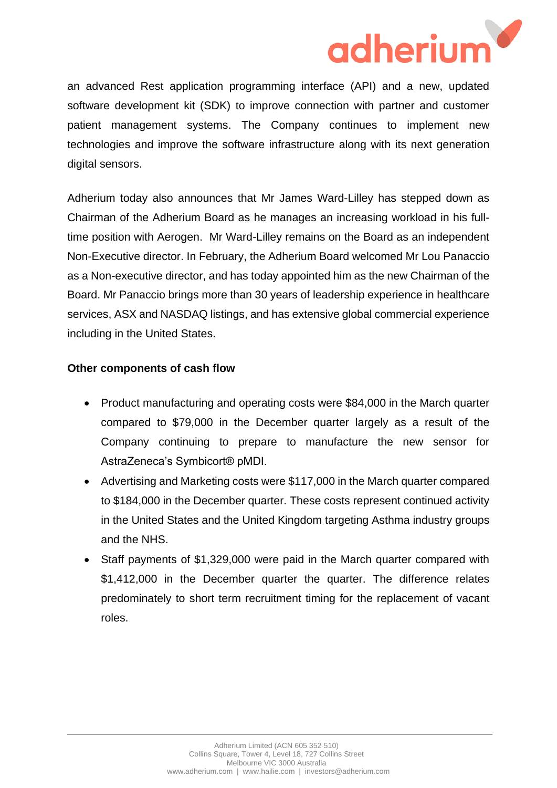

an advanced Rest application programming interface (API) and a new, updated software development kit (SDK) to improve connection with partner and customer patient management systems. The Company continues to implement new technologies and improve the software infrastructure along with its next generation digital sensors.

Adherium today also announces that Mr James Ward-Lilley has stepped down as Chairman of the Adherium Board as he manages an increasing workload in his fulltime position with Aerogen. Mr Ward-Lilley remains on the Board as an independent Non-Executive director. In February, the Adherium Board welcomed Mr Lou Panaccio as a Non-executive director, and has today appointed him as the new Chairman of the Board. Mr Panaccio brings more than 30 years of leadership experience in healthcare services, ASX and NASDAQ listings, and has extensive global commercial experience including in the United States.

### **Other components of cash flow**

- Product manufacturing and operating costs were \$84,000 in the March quarter compared to \$79,000 in the December quarter largely as a result of the Company continuing to prepare to manufacture the new sensor for AstraZeneca's Symbicort® pMDI.
- Advertising and Marketing costs were \$117,000 in the March quarter compared to \$184,000 in the December quarter. These costs represent continued activity in the United States and the United Kingdom targeting Asthma industry groups and the NHS.
- Staff payments of \$1,329,000 were paid in the March quarter compared with \$1,412,000 in the December quarter the quarter. The difference relates predominately to short term recruitment timing for the replacement of vacant roles.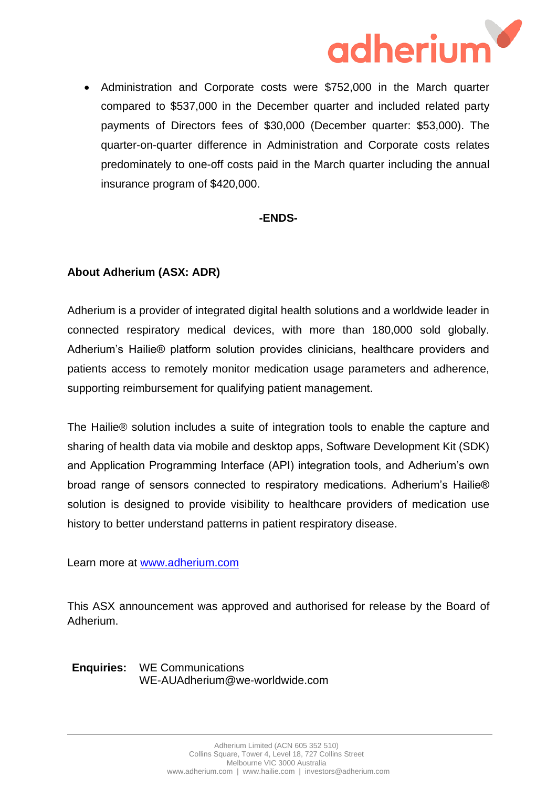

• Administration and Corporate costs were \$752,000 in the March quarter compared to \$537,000 in the December quarter and included related party payments of Directors fees of \$30,000 (December quarter: \$53,000). The quarter-on-quarter difference in Administration and Corporate costs relates predominately to one-off costs paid in the March quarter including the annual insurance program of \$420,000.

### **-ENDS-**

## **About Adherium (ASX: ADR)**

Adherium is a provider of integrated digital health solutions and a worldwide leader in connected respiratory medical devices, with more than 180,000 sold globally. Adherium's Hailie® platform solution provides clinicians, healthcare providers and patients access to remotely monitor medication usage parameters and adherence, supporting reimbursement for qualifying patient management.

The Hailie® solution includes a suite of integration tools to enable the capture and sharing of health data via mobile and desktop apps, Software Development Kit (SDK) and Application Programming Interface (API) integration tools, and Adherium's own broad range of sensors connected to respiratory medications. Adherium's Hailie® solution is designed to provide visibility to healthcare providers of medication use history to better understand patterns in patient respiratory disease.

Learn more at www.adherium.com

This ASX announcement was approved and authorised for release by the Board of Adherium.

**Enquiries:** WE Communications WE-AUAdherium@we-worldwide.com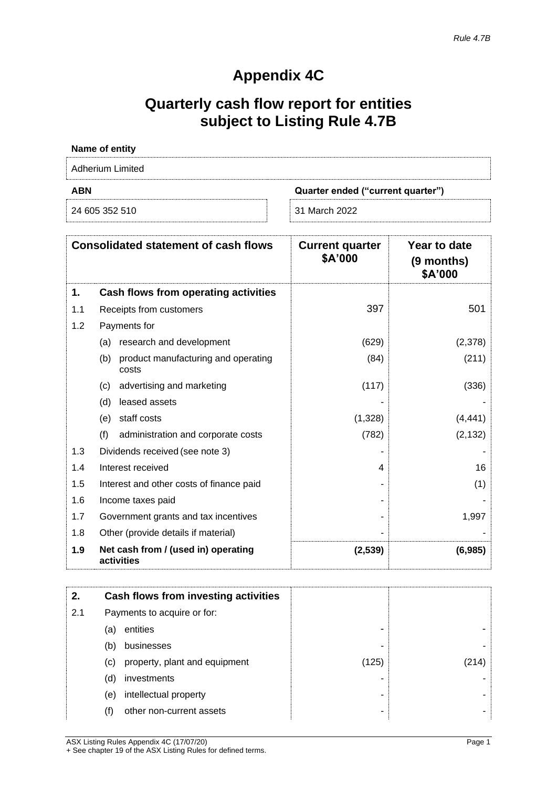## **Appendix 4C**

# **Quarterly cash flow report for entities subject to Listing Rule 4.7B**

| Name of entity   |                                   |
|------------------|-----------------------------------|
| Adherium Limited |                                   |
| <b>ABN</b>       | Quarter ended ("current quarter") |
| 24 605 352 510   | 31 March 2022                     |

|     | <b>Consolidated statement of cash flows</b>         | <b>Current quarter</b><br>\$A'000 | Year to date<br>(9 months)<br>\$A'000 |
|-----|-----------------------------------------------------|-----------------------------------|---------------------------------------|
| 1.  | Cash flows from operating activities                |                                   |                                       |
| 1.1 | Receipts from customers                             | 397                               | 501                                   |
| 1.2 | Payments for                                        |                                   |                                       |
|     | research and development<br>(a)                     | (629)                             | (2,378)                               |
|     | product manufacturing and operating<br>(b)<br>costs | (84)                              | (211)                                 |
|     | advertising and marketing<br>(c)                    | (117)                             | (336)                                 |
|     | leased assets<br>(d)                                |                                   |                                       |
|     | staff costs<br>(e)                                  | (1,328)                           | (4, 441)                              |
|     | (f)<br>administration and corporate costs           | (782)                             | (2, 132)                              |
| 1.3 | Dividends received (see note 3)                     |                                   |                                       |
| 1.4 | Interest received                                   | 4                                 | 16                                    |
| 1.5 | Interest and other costs of finance paid            |                                   | (1)                                   |
| 1.6 | Income taxes paid                                   |                                   |                                       |
| 1.7 | Government grants and tax incentives                |                                   | 1,997                                 |
| 1.8 | Other (provide details if material)                 |                                   |                                       |
| 1.9 | Net cash from / (used in) operating<br>activities   | (2,539)                           | (6,985)                               |

| 2.  | Cash flows from investing activities |                               |       |       |
|-----|--------------------------------------|-------------------------------|-------|-------|
| 2.1 | Payments to acquire or for:          |                               |       |       |
|     | (a)                                  | entities                      |       |       |
|     | (b)                                  | businesses                    |       |       |
|     | (c)                                  | property, plant and equipment | (125) | (214) |
|     | (d)                                  | investments                   |       |       |
|     | (e)                                  | intellectual property         |       |       |
|     | (f)                                  | other non-current assets      |       |       |

ASX Listing Rules Appendix 4C (17/07/20) Page 1 + See chapter 19 of the ASX Listing Rules for defined terms.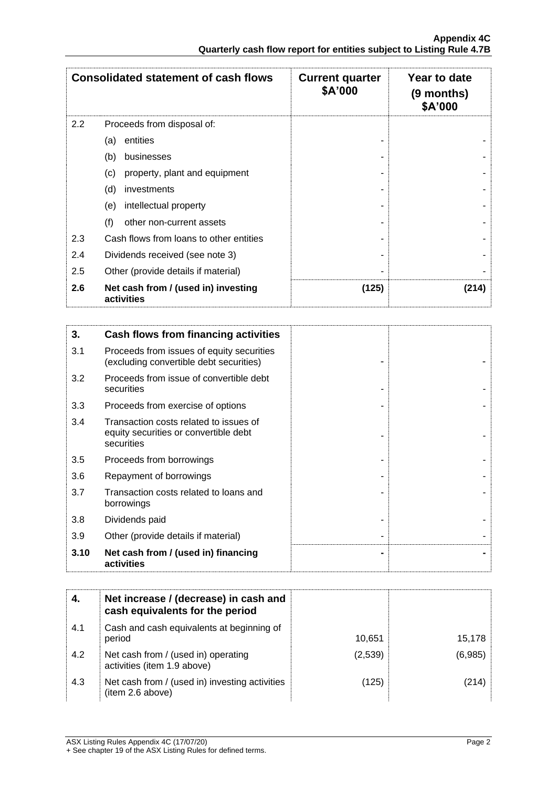| <b>Consolidated statement of cash flows</b> |                                                   | <b>Current quarter</b><br>\$A'000 | Year to date<br>$(9$ months)<br>\$A'000 |
|---------------------------------------------|---------------------------------------------------|-----------------------------------|-----------------------------------------|
| 2.2                                         | Proceeds from disposal of:                        |                                   |                                         |
|                                             | entities<br>(a)                                   |                                   |                                         |
|                                             | (b)<br>businesses                                 |                                   |                                         |
|                                             | property, plant and equipment<br>(c)              |                                   |                                         |
|                                             | (d)<br>investments                                |                                   |                                         |
|                                             | intellectual property<br>(e)                      |                                   |                                         |
|                                             | (f)<br>other non-current assets                   |                                   |                                         |
| 2.3                                         | Cash flows from loans to other entities           |                                   |                                         |
| 2.4                                         | Dividends received (see note 3)                   |                                   |                                         |
| 2.5                                         | Other (provide details if material)               |                                   |                                         |
| 2.6                                         | Net cash from / (used in) investing<br>activities | (125)                             | (214)                                   |

| 3.   | Cash flows from financing activities                                                          |
|------|-----------------------------------------------------------------------------------------------|
| 3.1  | Proceeds from issues of equity securities<br>(excluding convertible debt securities)          |
| 3.2  | Proceeds from issue of convertible debt<br>securities                                         |
| 3.3  | Proceeds from exercise of options                                                             |
| 3.4  | Transaction costs related to issues of<br>equity securities or convertible debt<br>securities |
| 3.5  | Proceeds from borrowings                                                                      |
| 3.6  | Repayment of borrowings                                                                       |
| 3.7  | Transaction costs related to loans and<br>borrowings                                          |
| 3.8  | Dividends paid                                                                                |
| 3.9  | Other (provide details if material)                                                           |
| 3.10 | Net cash from / (used in) financing<br>activities                                             |

|     | Net increase / (decrease) in cash and<br>cash equivalents for the period |         |         |
|-----|--------------------------------------------------------------------------|---------|---------|
| 4.1 | Cash and cash equivalents at beginning of<br>period                      | 10,651  | 15,178  |
| 4.2 | Net cash from / (used in) operating<br>activities (item 1.9 above)       | (2,539) | (6,985) |
| 4.3 | Net cash from / (used in) investing activities<br>(item 2.6 above)       | (125)   | (214)   |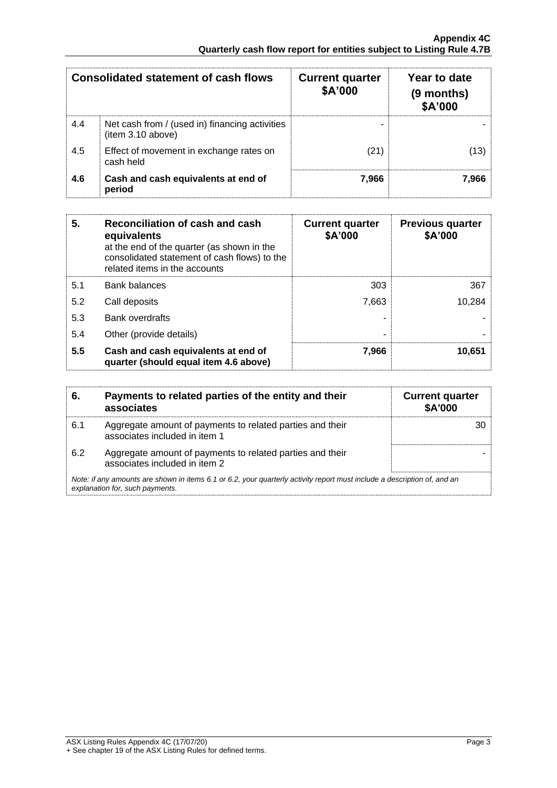| <b>Consolidated statement of cash flows</b> |                                                                     | <b>Current quarter</b><br>\$A'000 | Year to date<br>(9 months)<br>\$A'000 |
|---------------------------------------------|---------------------------------------------------------------------|-----------------------------------|---------------------------------------|
| 4.4                                         | Net cash from / (used in) financing activities<br>(item 3.10 above) |                                   |                                       |
| 4.5                                         | Effect of movement in exchange rates on<br>cash held                | (21)                              | (13)                                  |
| 4.6                                         | Cash and cash equivalents at end of<br>period                       | 7.966                             | 7.966                                 |

| 5.  | Reconciliation of cash and cash<br>equivalents<br>at the end of the quarter (as shown in the<br>consolidated statement of cash flows) to the<br>related items in the accounts | <b>Current quarter</b><br>\$A'000 | <b>Previous quarter</b><br>\$A'000 |
|-----|-------------------------------------------------------------------------------------------------------------------------------------------------------------------------------|-----------------------------------|------------------------------------|
| 5.1 | <b>Bank balances</b>                                                                                                                                                          | 303                               | 367                                |
| 5.2 | Call deposits                                                                                                                                                                 | 7.663                             | 10,284                             |
| 5.3 | <b>Bank overdrafts</b>                                                                                                                                                        |                                   |                                    |
| 5.4 | Other (provide details)                                                                                                                                                       | ۰                                 |                                    |
| 5.5 | Cash and cash equivalents at end of<br>quarter (should equal item 4.6 above)                                                                                                  | 7,966                             | 10.651                             |

| 6.  | Payments to related parties of the entity and their<br>associates                                                                                           | <b>Current quarter</b><br>\$A'000 |
|-----|-------------------------------------------------------------------------------------------------------------------------------------------------------------|-----------------------------------|
| 6.1 | Aggregate amount of payments to related parties and their<br>associates included in item 1                                                                  |                                   |
| 6.2 | Aggregate amount of payments to related parties and their<br>associates included in item 2                                                                  |                                   |
|     | Note: if any amounts are shown in items 6.1 or 6.2, your quarterly activity report must include a description of, and an<br>explanation for, such payments. |                                   |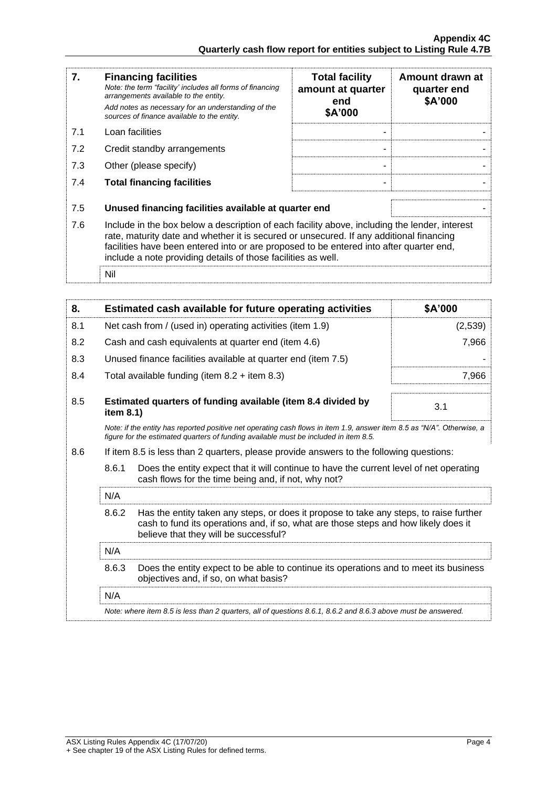| 7.  | <b>Financing facilities</b><br>Note: the term "facility' includes all forms of financing<br>arrangements available to the entity.<br>Add notes as necessary for an understanding of the<br>sources of finance available to the entity.                                                                                                               | <b>Total facility</b><br>amount at quarter<br>end<br>\$A'000 | Amount drawn at<br>quarter end<br>\$A'000 |
|-----|------------------------------------------------------------------------------------------------------------------------------------------------------------------------------------------------------------------------------------------------------------------------------------------------------------------------------------------------------|--------------------------------------------------------------|-------------------------------------------|
| 7.1 | Loan facilities                                                                                                                                                                                                                                                                                                                                      |                                                              |                                           |
| 7.2 | Credit standby arrangements                                                                                                                                                                                                                                                                                                                          |                                                              |                                           |
| 7.3 | Other (please specify)                                                                                                                                                                                                                                                                                                                               |                                                              |                                           |
| 7.4 | <b>Total financing facilities</b>                                                                                                                                                                                                                                                                                                                    | ۰                                                            |                                           |
| 7.5 | Unused financing facilities available at quarter end                                                                                                                                                                                                                                                                                                 |                                                              |                                           |
| 7.6 | Include in the box below a description of each facility above, including the lender, interest<br>rate, maturity date and whether it is secured or unsecured. If any additional financing<br>facilities have been entered into or are proposed to be entered into after quarter end,<br>include a note providing details of those facilities as well. |                                                              |                                           |
|     | Nil                                                                                                                                                                                                                                                                                                                                                  |                                                              |                                           |

| 8.                                                                                                            |                                                           | Estimated cash available for future operating activities                                                                                                                                                               | \$A'000 |
|---------------------------------------------------------------------------------------------------------------|-----------------------------------------------------------|------------------------------------------------------------------------------------------------------------------------------------------------------------------------------------------------------------------------|---------|
| 8.1                                                                                                           | Net cash from / (used in) operating activities (item 1.9) |                                                                                                                                                                                                                        | (2,539) |
| 8.2                                                                                                           |                                                           | Cash and cash equivalents at quarter end (item 4.6)                                                                                                                                                                    | 7,966   |
| 8.3                                                                                                           |                                                           | Unused finance facilities available at quarter end (item 7.5)                                                                                                                                                          |         |
| 8.4                                                                                                           |                                                           | Total available funding (item $8.2 +$ item $8.3$ )                                                                                                                                                                     | 7,966   |
| 8.5                                                                                                           | item 8.1)                                                 | Estimated quarters of funding available (item 8.4 divided by                                                                                                                                                           | 3.1     |
|                                                                                                               |                                                           | Note: if the entity has reported positive net operating cash flows in item 1.9, answer item 8.5 as "N/A". Otherwise, a<br>figure for the estimated quarters of funding available must be included in item 8.5.         |         |
| 8.6                                                                                                           |                                                           | If item 8.5 is less than 2 quarters, please provide answers to the following questions:                                                                                                                                |         |
|                                                                                                               | 8.6.1                                                     | Does the entity expect that it will continue to have the current level of net operating<br>cash flows for the time being and, if not, why not?                                                                         |         |
|                                                                                                               | N/A                                                       |                                                                                                                                                                                                                        |         |
|                                                                                                               | 8.6.2                                                     | Has the entity taken any steps, or does it propose to take any steps, to raise further<br>cash to fund its operations and, if so, what are those steps and how likely does it<br>believe that they will be successful? |         |
|                                                                                                               | N/A                                                       |                                                                                                                                                                                                                        |         |
|                                                                                                               | 8.6.3                                                     | Does the entity expect to be able to continue its operations and to meet its business<br>objectives and, if so, on what basis?                                                                                         |         |
|                                                                                                               | N/A                                                       |                                                                                                                                                                                                                        |         |
| Note: where item 8.5 is less than 2 quarters, all of questions 8.6.1, 8.6.2 and 8.6.3 above must be answered. |                                                           |                                                                                                                                                                                                                        |         |